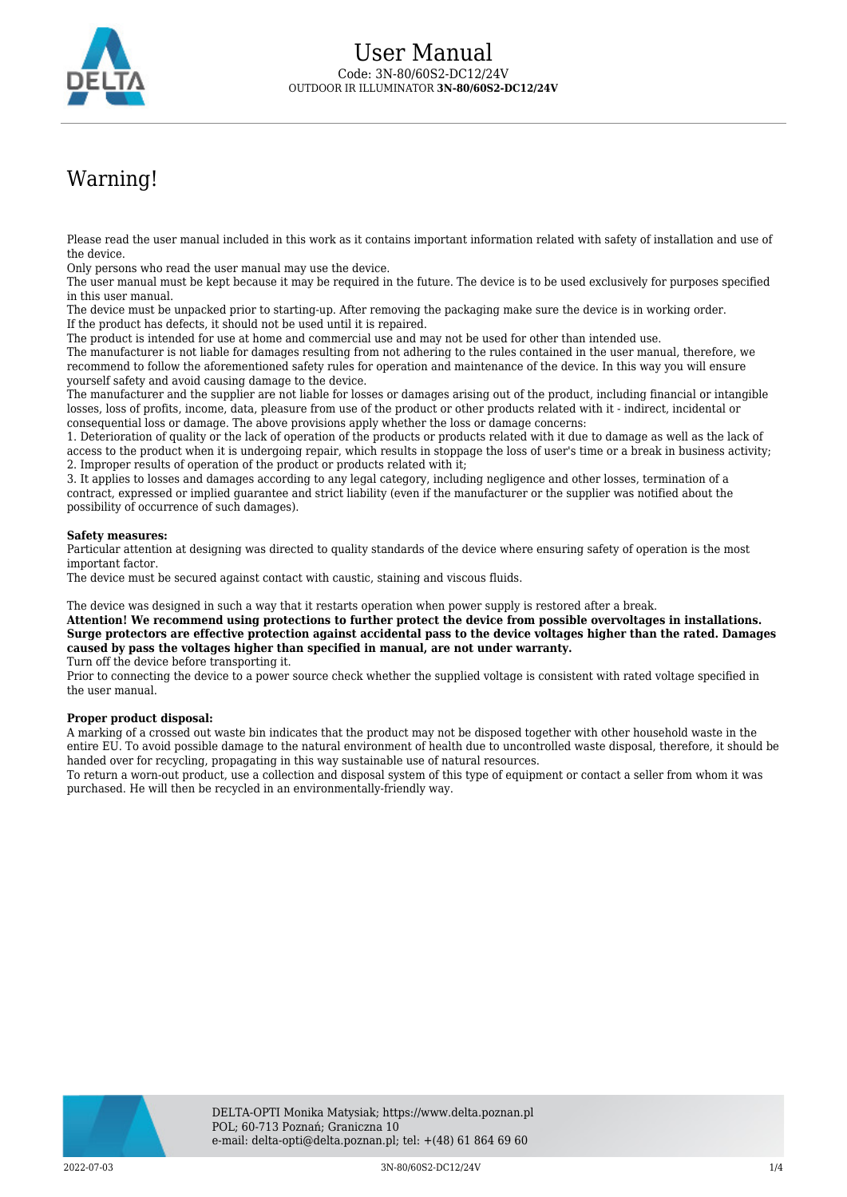

# Warning!

Please read the user manual included in this work as it contains important information related with safety of installation and use of the device.

Only persons who read the user manual may use the device.

The user manual must be kept because it may be required in the future. The device is to be used exclusively for purposes specified in this user manual.

The device must be unpacked prior to starting-up. After removing the packaging make sure the device is in working order. If the product has defects, it should not be used until it is repaired.

The product is intended for use at home and commercial use and may not be used for other than intended use.

The manufacturer is not liable for damages resulting from not adhering to the rules contained in the user manual, therefore, we recommend to follow the aforementioned safety rules for operation and maintenance of the device. In this way you will ensure yourself safety and avoid causing damage to the device.

The manufacturer and the supplier are not liable for losses or damages arising out of the product, including financial or intangible losses, loss of profits, income, data, pleasure from use of the product or other products related with it - indirect, incidental or consequential loss or damage. The above provisions apply whether the loss or damage concerns:

1. Deterioration of quality or the lack of operation of the products or products related with it due to damage as well as the lack of access to the product when it is undergoing repair, which results in stoppage the loss of user's time or a break in business activity; 2. Improper results of operation of the product or products related with it;

3. It applies to losses and damages according to any legal category, including negligence and other losses, termination of a contract, expressed or implied guarantee and strict liability (even if the manufacturer or the supplier was notified about the possibility of occurrence of such damages).

### **Safety measures:**

Particular attention at designing was directed to quality standards of the device where ensuring safety of operation is the most important factor.

The device must be secured against contact with caustic, staining and viscous fluids.

The device was designed in such a way that it restarts operation when power supply is restored after a break.

**Attention! We recommend using protections to further protect the device from possible overvoltages in installations. Surge protectors are effective protection against accidental pass to the device voltages higher than the rated. Damages caused by pass the voltages higher than specified in manual, are not under warranty.**

Turn off the device before transporting it.

Prior to connecting the device to a power source check whether the supplied voltage is consistent with rated voltage specified in the user manual.

### **Proper product disposal:**

A marking of a crossed out waste bin indicates that the product may not be disposed together with other household waste in the entire EU. To avoid possible damage to the natural environment of health due to uncontrolled waste disposal, therefore, it should be handed over for recycling, propagating in this way sustainable use of natural resources.

To return a worn-out product, use a collection and disposal system of this type of equipment or contact a seller from whom it was purchased. He will then be recycled in an environmentally-friendly way.

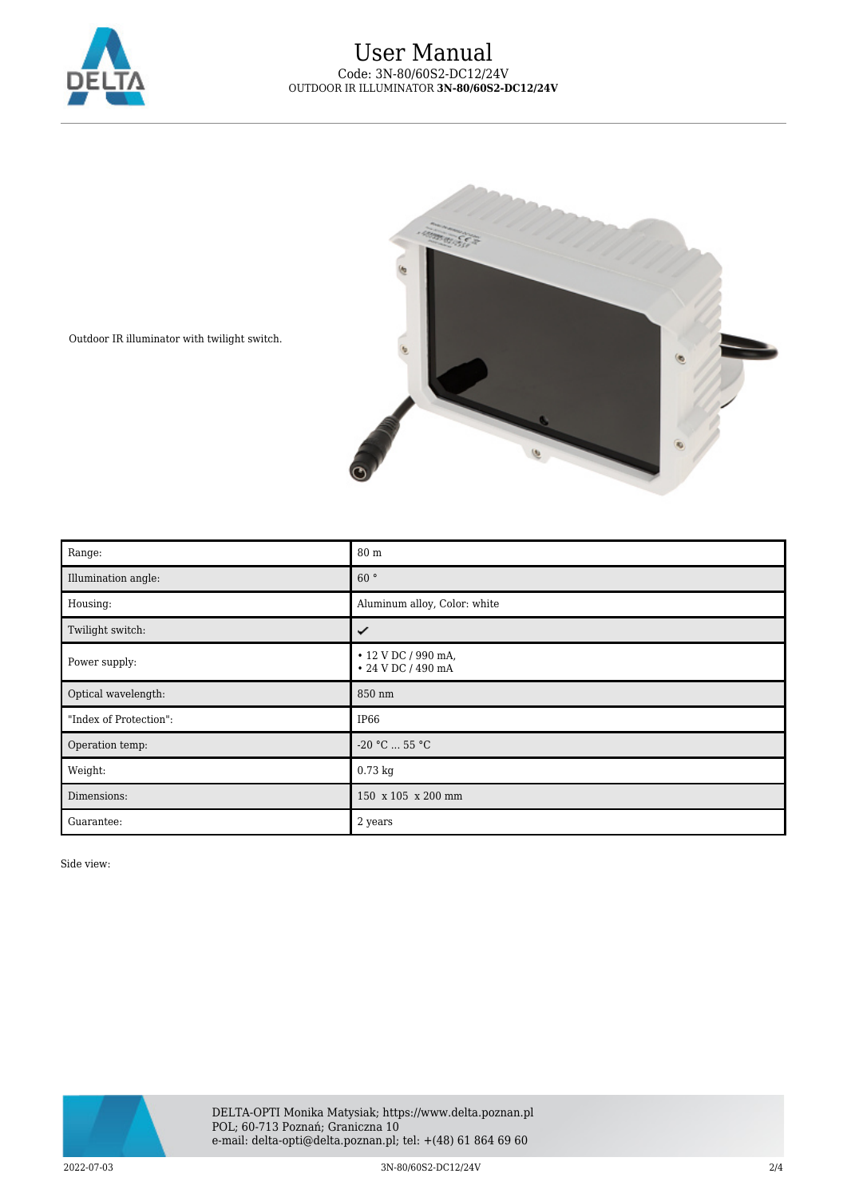

## User Manual Code: 3N-80/60S2-DC12/24V OUTDOOR IR ILLUMINATOR **3N-80/60S2-DC12/24V**



Outdoor IR illuminator with twilight switch.

| Range:                 | 80 m                                      |
|------------------------|-------------------------------------------|
| Illumination angle:    | 60°                                       |
| Housing:               | Aluminum alloy, Color: white              |
| Twilight switch:       | ✓                                         |
| Power supply:          | • 12 V DC / 990 mA,<br>• 24 V DC / 490 mA |
| Optical wavelength:    | 850 nm                                    |
| "Index of Protection": | IP66                                      |
| Operation temp:        | $-20$ °C $$ 55 °C                         |
| Weight:                | 0.73 kg                                   |
| Dimensions:            | 150 x 105 x 200 mm                        |
| Guarantee:             | 2 years                                   |

Side view:



2022-07-03 3N-80/60S2-DC12/24V 2/4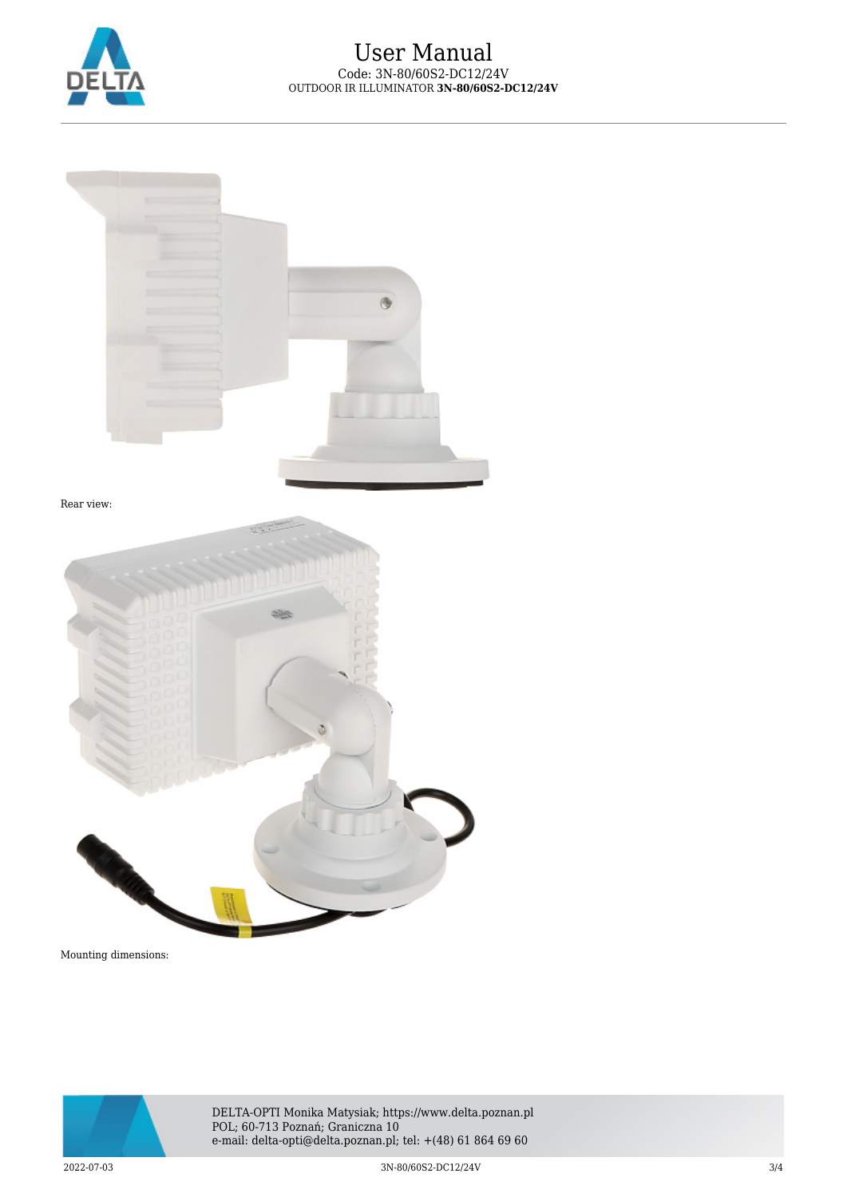

# User Manual Code: 3N-80/60S2-DC12/24V OUTDOOR IR ILLUMINATOR **3N-80/60S2-DC12/24V**



Rear view:



Mounting dimensions:



DELTA-OPTI Monika Matysiak; https://www.delta.poznan.pl POL; 60-713 Poznań; Graniczna 10 e-mail: delta-opti@delta.poznan.pl; tel: +(48) 61 864 69 60

2022-07-03 3N-80/60S2-DC12/24V 3N-80/60S2-DC12/24V